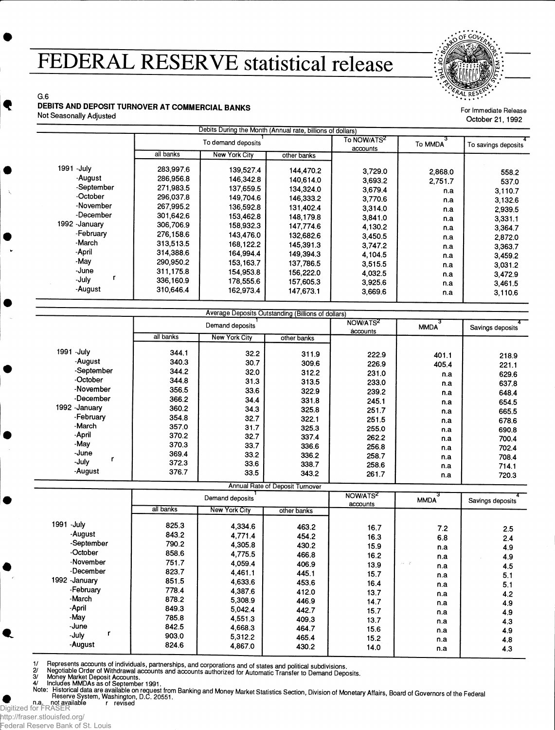## **FEDERAL RESERVE statistical release**



For Immediate Release October 21, 1992

G.6 **DEBITS AND DEPOSIT TURNOVER AT COMMERCIAL BANKS**

Not Seasonally Adjusted

|              |                    | Debits During the Month (Annual rate, billions of dollars) |             |                                     |         |                     |
|--------------|--------------------|------------------------------------------------------------|-------------|-------------------------------------|---------|---------------------|
|              | To demand deposits |                                                            |             | To NOW/ATS <sup>2</sup><br>accounts | To MMDA | To savings deposits |
|              | all banks          | New York City                                              | other banks |                                     |         |                     |
| 1991 - July  | 283,997.6          | 139,527.4                                                  | 144.470.2   | 3,729.0                             | 2,868.0 | 558.2               |
| -August      | 286,956.8          | 146,342.8                                                  | 140.614.0   | 3,693.2                             | 2.751.7 | 537.0               |
| -September   | 271.983.5          | 137,659.5                                                  | 134.324.0   | 3,679.4                             | n.a     | 3,110.7             |
| -October     | 296,037.8          | 149,704.6                                                  | 146,333.2   | 3,770.6                             | n.a     | 3,132.6             |
| -November    | 267,995.2          | 136,592.8                                                  | 131.402.4   | 3.314.0                             | n.a     | 2,939.5             |
| -December    | 301.642.6          | 153,462.8                                                  | 148.179.8   | 3,841.0                             | n.a     | 3,331.1             |
| 1992 January | 306,706.9          | 158,932.3                                                  | 147,774.6   | 4,130.2                             | n.a     | 3,364.7             |
| -February    | 276,158.6          | 143,476.0                                                  | 132,682.6   | 3,450.5                             | n.a     | 2,872.0             |
| -March       | 313,513.5          | 168,122.2                                                  | 145,391.3   | 3,747.2                             | n.a     | 3,363.7             |
| -April       | 314,388.6          | 164,994.4                                                  | 149.394.3   | 4,104.5                             | n.a     | 3.459.2             |
| -May         | 290,950.2          | 153, 163.7                                                 | 137,786.5   | 3,515.5                             | n.a     | 3,031.2             |
| -June        | 311,175.8          | 154,953.8                                                  | 156,222.0   | 4,032.5                             | n.a     | 3,472.9             |
| r<br>-July   | 336,160.9          | 178,555.6                                                  | 157,605.3   | 3,925.6                             | n.a     | 3,461.5             |
| -August      | 310,646.4          | 162,973.4                                                  | 147,673.1   | 3,669.6                             | n.a     | 3,110.6             |

|                |                 | Average Deposits Outstanding (Billions of dollars) |             |                                  |             |                  |
|----------------|-----------------|----------------------------------------------------|-------------|----------------------------------|-------------|------------------|
|                | Demand deposits |                                                    |             | NOW/ATS <sup>2</sup><br>accounts | <b>MMDA</b> | Savings deposits |
|                | all banks       | <b>New York City</b>                               | other banks |                                  |             |                  |
| 1991 - July    | 344.1           | 32.2                                               | 311.9       | 222.9                            | 401.1       | 218.9            |
| -August        | 340.3           | 30.7                                               | 309.6       | 226.9                            | 405.4       | 221.1            |
| -September     | 344.2           | 32.0                                               | 312.2       | 231.0                            | n.a         | 629.6            |
| -October       | 344.8           | 31.3                                               | 313.5       | 233.0                            | n.a         | 637.8            |
| -November      | 356.5           | 33.6                                               | 322.9       | 239.2                            | n.a         | 648.4            |
| -December      | 366.2           | 34.4                                               | 331.8       | 245.1                            | n.a         | 654.5            |
| 1992 - January | 360.2           | 34.3                                               | 325.8       | 251.7                            | n.a         | 665.5            |
| -February      | 354.8           | 32.7                                               | 322.1       | 251.5                            | n.a         | 678.6            |
| -March         | 357.0           | 31.7                                               | 325.3       | 255.0                            | n.a         | 690.8            |
| -April         | 370.2           | 32.7                                               | 337.4       | 262.2                            | n.a         | 700.4            |
| -May           | 370.3           | 33.7                                               | 336.6       | 256.8                            | n.a         | 702.4            |
| -June          | 369.4           | 33.2                                               | 336.2       | 258.7                            | n.a         | 708.4            |
| -July          | 372.3           | 33.6                                               | 338.7       | 258.6                            | n.a         | 714.1            |
| -August        | 376.7           | 33.5                                               | 343.2       | 261.7                            | n.a         | 720.3            |

|                                                                                                                                       |                                                                                                 |                                                                                                                       | Annual Rate of Deposit Turnover                                                                 |                                                                                      |                                                                                        |                                                                           |
|---------------------------------------------------------------------------------------------------------------------------------------|-------------------------------------------------------------------------------------------------|-----------------------------------------------------------------------------------------------------------------------|-------------------------------------------------------------------------------------------------|--------------------------------------------------------------------------------------|----------------------------------------------------------------------------------------|---------------------------------------------------------------------------|
|                                                                                                                                       | Demand deposits                                                                                 |                                                                                                                       |                                                                                                 | NOW/ATS <sup>2</sup><br>accounts                                                     | <b>MMDA</b>                                                                            | Savings deposits                                                          |
|                                                                                                                                       | all banks                                                                                       | <b>New York City</b>                                                                                                  | other banks                                                                                     |                                                                                      |                                                                                        |                                                                           |
| 1991 - July<br>-August<br>-September<br>-October<br>-November<br>-December<br>1992 - January<br>-February<br>-March<br>-April<br>-May | 825.3<br>843.2<br>790.2<br>858.6<br>751.7<br>823.7<br>851.5<br>778.4<br>878.2<br>849.3<br>785.8 | 4,334.6<br>4,771.4<br>4,305.8<br>4,775.5<br>4.059.4<br>4.461.1<br>4,633.6<br>4,387.6<br>5,308.9<br>5.042.4<br>4,551.3 | 463.2<br>454.2<br>430.2<br>466.8<br>406.9<br>445.1<br>453.6<br>412.0<br>446.9<br>442.7<br>409.3 | 16.7<br>16.3<br>15.9<br>16.2<br>13.9<br>15.7<br>16.4<br>13.7<br>14.7<br>15.7<br>13.7 | 7.2<br>6.8<br>n.a<br>n.a<br>$11 - 12$<br>n.a<br>n.a<br>n.a<br>n.a<br>n.a<br>n.a<br>n.a | 2.5<br>2.4<br>4.9<br>4.9<br>4.5<br>5.1<br>5.1<br>4.2<br>4.9<br>4.9<br>4.3 |
| -June<br>-July<br>-August                                                                                                             | 842.5<br>903.0<br>824.6                                                                         | 4,668.3<br>5,312.2<br>4,867.0                                                                                         | 464.7<br>465.4<br>430.2                                                                         | 15.6<br>15.2<br>14.0                                                                 | n.a<br>n.a<br>n.a                                                                      | 4.9<br>4.8<br>4.3                                                         |

1/ Represents accounts of individuals, partnerships, and corporations and of states and political subdivisions.<br>2/ Negotiable Order of Withdrawal accounts and accounts authorized for Automatic Transfer to Demand Deposits

Money Market Deposit Accounts. Includes MMDAs as of September 1991.

4/ Note:

. Filiston can dere available on request from Banking and Money Market Statistics Section, Division of Monetary Affairs, Board of Governors of the Federa<br>Desenya System Washington, D.C. 30551

n.a. not available r revised<br>Digitized for FRASER

Ł

Federal Reserve Bank of St. Louis